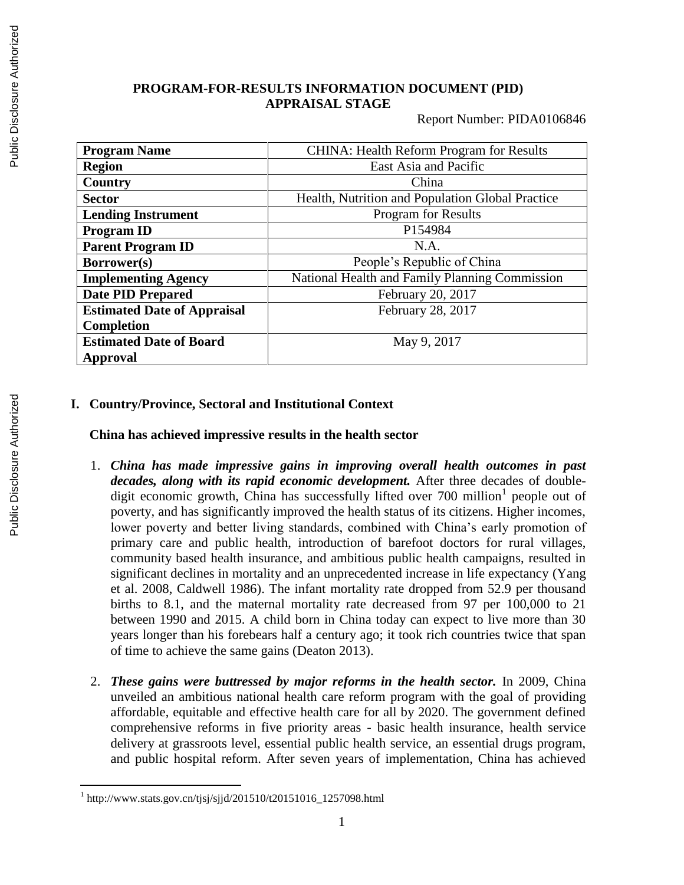# **PROGRAM-FOR-RESULTS INFORMATION DOCUMENT (PID) APPRAISAL STAGE**

Report Number: PIDA0106846

| <b>Program Name</b>                | <b>CHINA: Health Reform Program for Results</b>  |  |
|------------------------------------|--------------------------------------------------|--|
| <b>Region</b>                      | East Asia and Pacific                            |  |
| Country                            | China                                            |  |
| <b>Sector</b>                      | Health, Nutrition and Population Global Practice |  |
| <b>Lending Instrument</b>          | <b>Program for Results</b>                       |  |
| <b>Program ID</b>                  | P154984                                          |  |
| <b>Parent Program ID</b>           | N.A.                                             |  |
| Borrower(s)                        | People's Republic of China                       |  |
| <b>Implementing Agency</b>         | National Health and Family Planning Commission   |  |
| <b>Date PID Prepared</b>           | February 20, 2017                                |  |
| <b>Estimated Date of Appraisal</b> | February 28, 2017                                |  |
| <b>Completion</b>                  |                                                  |  |
| <b>Estimated Date of Board</b>     | May 9, 2017                                      |  |
| <b>Approval</b>                    |                                                  |  |

## **I. Country/Province, Sectoral and Institutional Context**

#### **China has achieved impressive results in the health sector**

- 1. *China has made impressive gains in improving overall health outcomes in past decades, along with its rapid economic development.* After three decades of doubledigit economic growth, China has successfully lifted over  $700$  million<sup>1</sup> people out of poverty, and has significantly improved the health status of its citizens. Higher incomes, lower poverty and better living standards, combined with China's early promotion of primary care and public health, introduction of barefoot doctors for rural villages, community based health insurance, and ambitious public health campaigns, resulted in significant declines in mortality and an unprecedented increase in life expectancy (Yang et al. 2008, Caldwell 1986). The infant mortality rate dropped from 52.9 per thousand births to 8.1, and the maternal mortality rate decreased from 97 per 100,000 to 21 between 1990 and 2015. A child born in China today can expect to live more than 30 years longer than his forebears half a century ago; it took rich countries twice that span of time to achieve the same gains (Deaton 2013).
- 2. *These gains were buttressed by major reforms in the health sector.* In 2009, China unveiled an ambitious national health care reform program with the goal of providing affordable, equitable and effective health care for all by 2020. The government defined comprehensive reforms in five priority areas - basic health insurance, health service delivery at grassroots level, essential public health service, an essential drugs program, and public hospital reform. After seven years of implementation, China has achieved

 1 http://www.stats.gov.cn/tjsj/sjjd/201510/t20151016\_1257098.html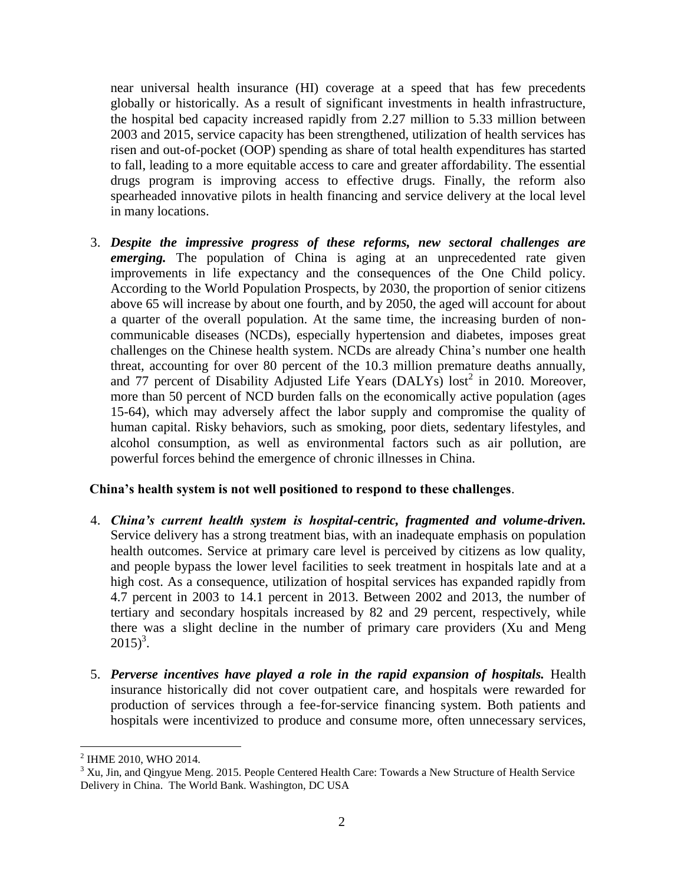near universal health insurance (HI) coverage at a speed that has few precedents globally or historically. As a result of significant investments in health infrastructure, the hospital bed capacity increased rapidly from 2.27 million to 5.33 million between 2003 and 2015, service capacity has been strengthened, utilization of health services has risen and out-of-pocket (OOP) spending as share of total health expenditures has started to fall, leading to a more equitable access to care and greater affordability. The essential drugs program is improving access to effective drugs. Finally, the reform also spearheaded innovative pilots in health financing and service delivery at the local level in many locations.

3. *Despite the impressive progress of these reforms, new sectoral challenges are emerging*. The population of China is aging at an unprecedented rate given improvements in life expectancy and the consequences of the One Child policy. According to the World Population Prospects, by 2030, the proportion of senior citizens above 65 will increase by about one fourth, and by 2050, the aged will account for about a quarter of the overall population. At the same time, the increasing burden of noncommunicable diseases (NCDs), especially hypertension and diabetes, imposes great challenges on the Chinese health system. NCDs are already China's number one health threat, accounting for over 80 percent of the 10.3 million premature deaths annually, and 77 percent of Disability Adjusted Life Years (DALYs)  $\text{lost}^2$  in 2010. Moreover, more than 50 percent of NCD burden falls on the economically active population (ages 15-64), which may adversely affect the labor supply and compromise the quality of human capital. Risky behaviors, such as smoking, poor diets, sedentary lifestyles, and alcohol consumption, as well as environmental factors such as air pollution, are powerful forces behind the emergence of chronic illnesses in China.

### **China's health system is not well positioned to respond to these challenges**.

- 4. *China's current health system is hospital-centric, fragmented and volume-driven.* Service delivery has a strong treatment bias, with an inadequate emphasis on population health outcomes. Service at primary care level is perceived by citizens as low quality, and people bypass the lower level facilities to seek treatment in hospitals late and at a high cost. As a consequence, utilization of hospital services has expanded rapidly from 4.7 percent in 2003 to 14.1 percent in 2013. Between 2002 and 2013, the number of tertiary and secondary hospitals increased by 82 and 29 percent, respectively, while there was a slight decline in the number of primary care providers (Xu and Meng  $2015)^3$ .
- 5. *Perverse incentives have played a role in the rapid expansion of hospitals.* Health insurance historically did not cover outpatient care, and hospitals were rewarded for production of services through a fee-for-service financing system. Both patients and hospitals were incentivized to produce and consume more, often unnecessary services,

 $\overline{a}$ 

<sup>2</sup> IHME 2010, WHO 2014.

 $3$  Xu, Jin, and Qingyue Meng. 2015. People Centered Health Care: Towards a New Structure of Health Service Delivery in China. The World Bank. Washington, DC USA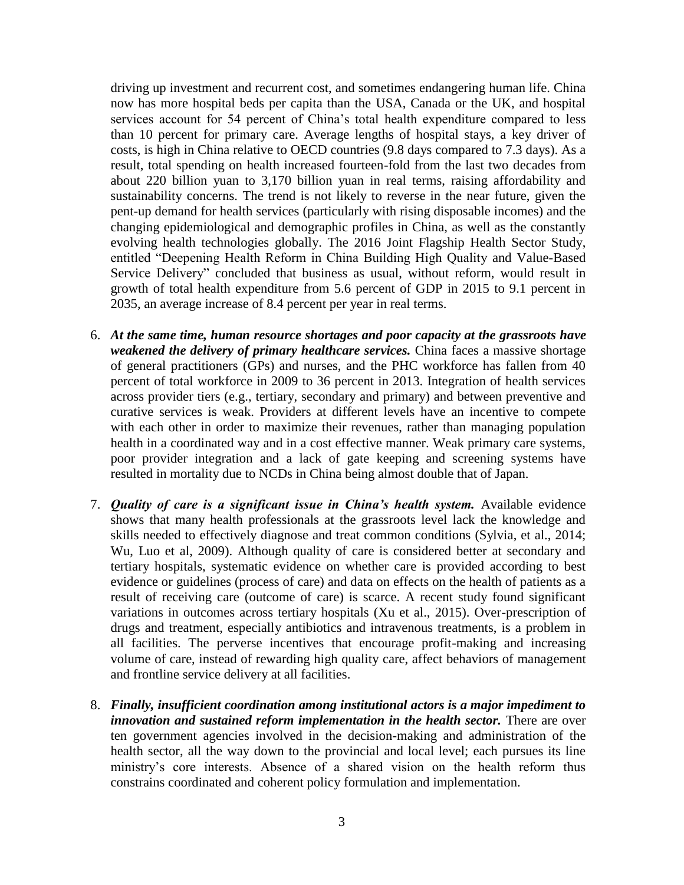driving up investment and recurrent cost, and sometimes endangering human life. China now has more hospital beds per capita than the USA, Canada or the UK, and hospital services account for 54 percent of China's total health expenditure compared to less than 10 percent for primary care. Average lengths of hospital stays, a key driver of costs, is high in China relative to OECD countries (9.8 days compared to 7.3 days). As a result, total spending on health increased fourteen-fold from the last two decades from about 220 billion yuan to 3,170 billion yuan in real terms, raising affordability and sustainability concerns. The trend is not likely to reverse in the near future, given the pent-up demand for health services (particularly with rising disposable incomes) and the changing epidemiological and demographic profiles in China, as well as the constantly evolving health technologies globally. The 2016 Joint Flagship Health Sector Study, entitled "Deepening Health Reform in China Building High Quality and Value-Based Service Delivery" concluded that business as usual, without reform, would result in growth of total health expenditure from 5.6 percent of GDP in 2015 to 9.1 percent in 2035, an average increase of 8.4 percent per year in real terms.

- 6. *At the same time, human resource shortages and poor capacity at the grassroots have weakened the delivery of primary healthcare services.* China faces a massive shortage of general practitioners (GPs) and nurses, and the PHC workforce has fallen from 40 percent of total workforce in 2009 to 36 percent in 2013. Integration of health services across provider tiers (e.g., tertiary, secondary and primary) and between preventive and curative services is weak. Providers at different levels have an incentive to compete with each other in order to maximize their revenues, rather than managing population health in a coordinated way and in a cost effective manner. Weak primary care systems, poor provider integration and a lack of gate keeping and screening systems have resulted in mortality due to NCDs in China being almost double that of Japan.
- 7. *Quality of care is a significant issue in China's health system.* Available evidence shows that many health professionals at the grassroots level lack the knowledge and skills needed to effectively diagnose and treat common conditions (Sylvia, et al., 2014; Wu, Luo et al, 2009). Although quality of care is considered better at secondary and tertiary hospitals, systematic evidence on whether care is provided according to best evidence or guidelines (process of care) and data on effects on the health of patients as a result of receiving care (outcome of care) is scarce. A recent study found significant variations in outcomes across tertiary hospitals (Xu et al., 2015). Over-prescription of drugs and treatment, especially antibiotics and intravenous treatments, is a problem in all facilities. The perverse incentives that encourage profit-making and increasing volume of care, instead of rewarding high quality care, affect behaviors of management and frontline service delivery at all facilities.
- 8. *Finally, insufficient coordination among institutional actors is a major impediment to innovation and sustained reform implementation in the health sector. There are over* ten government agencies involved in the decision-making and administration of the health sector, all the way down to the provincial and local level; each pursues its line ministry's core interests. Absence of a shared vision on the health reform thus constrains coordinated and coherent policy formulation and implementation.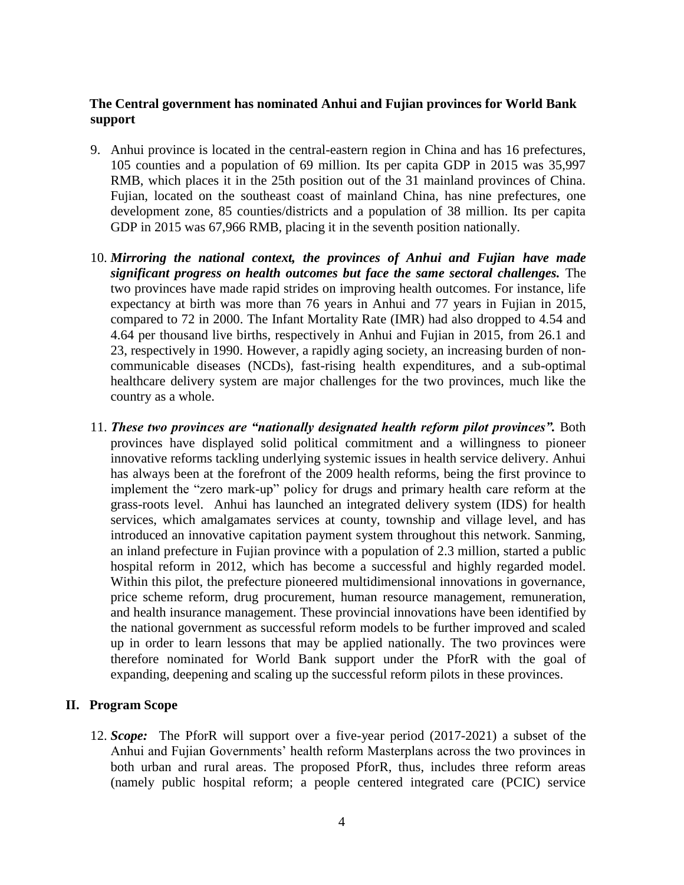## **The Central government has nominated Anhui and Fujian provinces for World Bank support**

- 9. Anhui province is located in the central-eastern region in China and has 16 prefectures, 105 counties and a population of 69 million. Its per capita GDP in 2015 was 35,997 RMB, which places it in the 25th position out of the 31 mainland provinces of China. Fujian, located on the [southeast coast](https://en.wikipedia.org/wiki/East_China) of [mainland China,](https://en.wikipedia.org/wiki/Mainland_China) has nine prefectures, one development zone, 85 counties/districts and a population of 38 million. Its per capita GDP in 2015 was 67,966 RMB, placing it in the seventh position nationally.
- 10. *Mirroring the national context, the provinces of Anhui and Fujian have made significant progress on health outcomes but face the same sectoral challenges.* The two provinces have made rapid strides on improving health outcomes. For instance, life expectancy at birth was more than 76 years in Anhui and 77 years in Fujian in 2015, compared to 72 in 2000. The Infant Mortality Rate (IMR) had also dropped to 4.54 and 4.64 per thousand live births, respectively in Anhui and Fujian in 2015, from 26.1 and 23, respectively in 1990. However, a rapidly aging society, an increasing burden of noncommunicable diseases (NCDs), fast-rising health expenditures, and a sub-optimal healthcare delivery system are major challenges for the two provinces, much like the country as a whole.
- 11. *These two provinces are "nationally designated health reform pilot provinces".* Both provinces have displayed solid political commitment and a willingness to pioneer innovative reforms tackling underlying systemic issues in health service delivery. Anhui has always been at the forefront of the 2009 health reforms, being the first province to implement the "zero mark-up" policy for drugs and primary health care reform at the grass-roots level. Anhui has launched an integrated delivery system (IDS) for health services, which amalgamates services at county, township and village level, and has introduced an innovative capitation payment system throughout this network. Sanming, an inland prefecture in Fujian province with a population of 2.3 million, started a public hospital reform in 2012, which has become a successful and highly regarded model. Within this pilot, the prefecture pioneered multidimensional innovations in governance, price scheme reform, drug procurement, human resource management, remuneration, and health insurance management. These provincial innovations have been identified by the national government as successful reform models to be further improved and scaled up in order to learn lessons that may be applied nationally. The two provinces were therefore nominated for World Bank support under the PforR with the goal of expanding, deepening and scaling up the successful reform pilots in these provinces.

### **II. Program Scope**

12. *Scope:* The PforR will support over a five-year period (2017-2021) a subset of the Anhui and Fujian Governments' health reform Masterplans across the two provinces in both urban and rural areas. The proposed PforR, thus, includes three reform areas (namely public hospital reform; a people centered integrated care (PCIC) service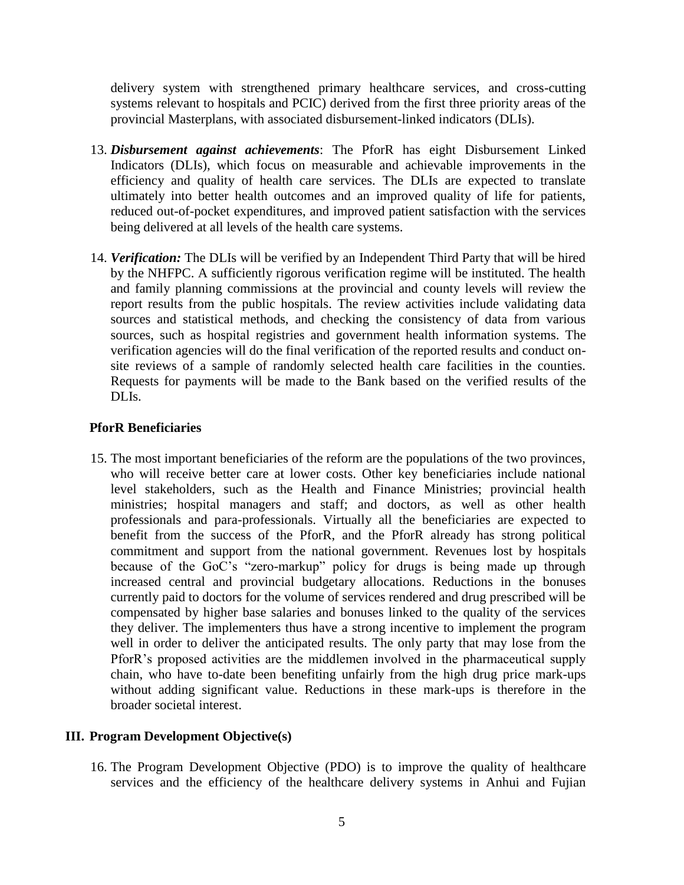delivery system with strengthened primary healthcare services, and cross-cutting systems relevant to hospitals and PCIC) derived from the first three priority areas of the provincial Masterplans, with associated disbursement-linked indicators (DLIs).

- 13. *Disbursement against achievements*: The PforR has eight Disbursement Linked Indicators (DLIs), which focus on measurable and achievable improvements in the efficiency and quality of health care services. The DLIs are expected to translate ultimately into better health outcomes and an improved quality of life for patients, reduced out-of-pocket expenditures, and improved patient satisfaction with the services being delivered at all levels of the health care systems.
- 14. *Verification:* The DLIs will be verified by an Independent Third Party that will be hired by the NHFPC. A sufficiently rigorous verification regime will be instituted. The health and family planning commissions at the provincial and county levels will review the report results from the public hospitals. The review activities include validating data sources and statistical methods, and checking the consistency of data from various sources, such as hospital registries and government health information systems. The verification agencies will do the final verification of the reported results and conduct onsite reviews of a sample of randomly selected health care facilities in the counties. Requests for payments will be made to the Bank based on the verified results of the DLIs.

### **PforR Beneficiaries**

15. The most important beneficiaries of the reform are the populations of the two provinces, who will receive better care at lower costs. Other key beneficiaries include national level stakeholders, such as the Health and Finance Ministries; provincial health ministries; hospital managers and staff; and doctors, as well as other health professionals and para-professionals. Virtually all the beneficiaries are expected to benefit from the success of the PforR, and the PforR already has strong political commitment and support from the national government. Revenues lost by hospitals because of the GoC's "zero-markup" policy for drugs is being made up through increased central and provincial budgetary allocations. Reductions in the bonuses currently paid to doctors for the volume of services rendered and drug prescribed will be compensated by higher base salaries and bonuses linked to the quality of the services they deliver. The implementers thus have a strong incentive to implement the program well in order to deliver the anticipated results. The only party that may lose from the PforR's proposed activities are the middlemen involved in the pharmaceutical supply chain, who have to-date been benefiting unfairly from the high drug price mark-ups without adding significant value. Reductions in these mark-ups is therefore in the broader societal interest.

### **III. Program Development Objective(s)**

16. The Program Development Objective (PDO) is to improve the quality of healthcare services and the efficiency of the healthcare delivery systems in Anhui and Fujian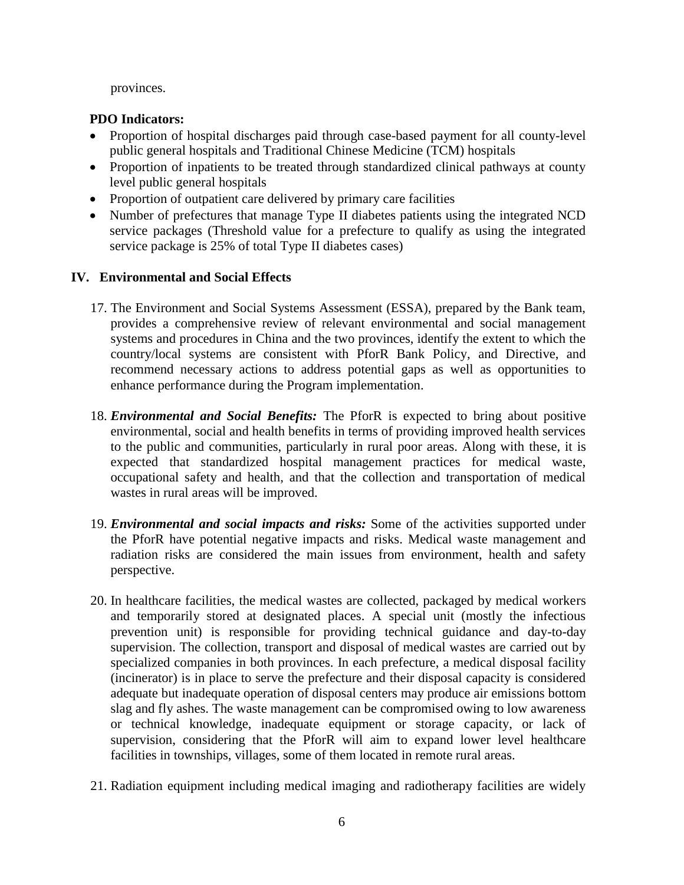provinces.

## **PDO Indicators:**

- Proportion of hospital discharges paid through case-based payment for all county-level public general hospitals and Traditional Chinese Medicine (TCM) hospitals
- Proportion of inpatients to be treated through standardized clinical pathways at county level public general hospitals
- Proportion of outpatient care delivered by primary care facilities
- Number of prefectures that manage Type II diabetes patients using the integrated NCD service packages (Threshold value for a prefecture to qualify as using the integrated service package is 25% of total Type II diabetes cases)

## **IV. Environmental and Social Effects**

- 17. The Environment and Social Systems Assessment (ESSA), prepared by the Bank team, provides a comprehensive review of relevant environmental and social management systems and procedures in China and the two provinces, identify the extent to which the country/local systems are consistent with PforR Bank Policy, and Directive, and recommend necessary actions to address potential gaps as well as opportunities to enhance performance during the Program implementation.
- 18. *Environmental and Social Benefits:* The PforR is expected to bring about positive environmental, social and health benefits in terms of providing improved health services to the public and communities, particularly in rural poor areas. Along with these, it is expected that standardized hospital management practices for medical waste, occupational safety and health, and that the collection and transportation of medical wastes in rural areas will be improved.
- 19. *Environmental and social impacts and risks:* Some of the activities supported under the PforR have potential negative impacts and risks. Medical waste management and radiation risks are considered the main issues from environment, health and safety perspective.
- 20. In healthcare facilities, the medical wastes are collected, packaged by medical workers and temporarily stored at designated places. A special unit (mostly the infectious prevention unit) is responsible for providing technical guidance and day-to-day supervision. The collection, transport and disposal of medical wastes are carried out by specialized companies in both provinces. In each prefecture, a medical disposal facility (incinerator) is in place to serve the prefecture and their disposal capacity is considered adequate but inadequate operation of disposal centers may produce air emissions bottom slag and fly ashes. The waste management can be compromised owing to low awareness or technical knowledge, inadequate equipment or storage capacity, or lack of supervision, considering that the PforR will aim to expand lower level healthcare facilities in townships, villages, some of them located in remote rural areas.
- 21. Radiation equipment including medical imaging and radiotherapy facilities are widely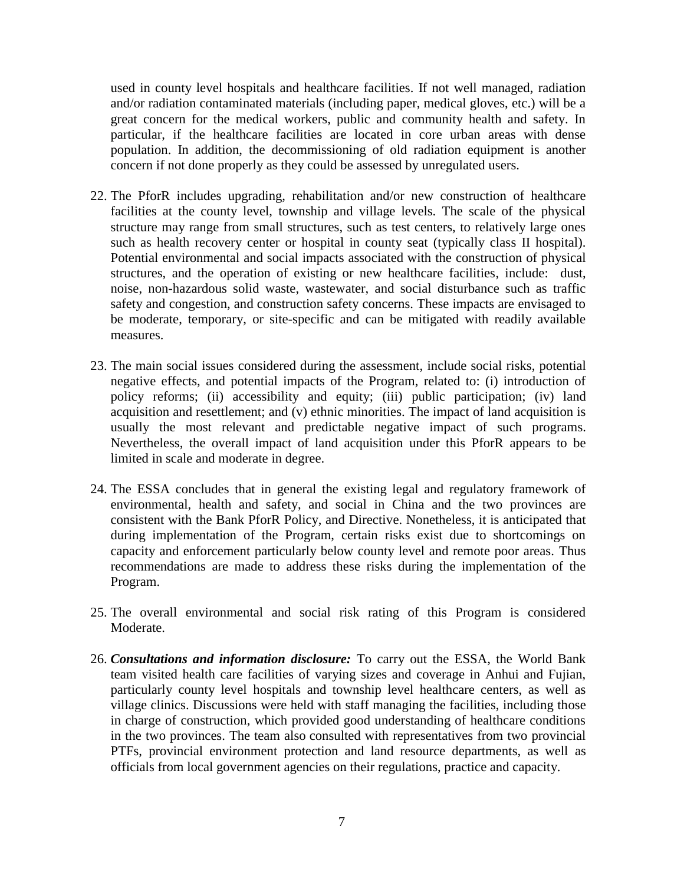used in county level hospitals and healthcare facilities. If not well managed, radiation and/or radiation contaminated materials (including paper, medical gloves, etc.) will be a great concern for the medical workers, public and community health and safety. In particular, if the healthcare facilities are located in core urban areas with dense population. In addition, the decommissioning of old radiation equipment is another concern if not done properly as they could be assessed by unregulated users.

- 22. The PforR includes upgrading, rehabilitation and/or new construction of healthcare facilities at the county level, township and village levels. The scale of the physical structure may range from small structures, such as test centers, to relatively large ones such as health recovery center or hospital in county seat (typically class II hospital). Potential environmental and social impacts associated with the construction of physical structures, and the operation of existing or new healthcare facilities, include: dust, noise, non-hazardous solid waste, wastewater, and social disturbance such as traffic safety and congestion, and construction safety concerns. These impacts are envisaged to be moderate, temporary, or site-specific and can be mitigated with readily available measures.
- 23. The main social issues considered during the assessment, include social risks, potential negative effects, and potential impacts of the Program, related to: (i) introduction of policy reforms; (ii) accessibility and equity; (iii) public participation; (iv) land acquisition and resettlement; and (v) ethnic minorities. The impact of land acquisition is usually the most relevant and predictable negative impact of such programs. Nevertheless, the overall impact of land acquisition under this PforR appears to be limited in scale and moderate in degree.
- 24. The ESSA concludes that in general the existing legal and regulatory framework of environmental, health and safety, and social in China and the two provinces are consistent with the Bank PforR Policy, and Directive. Nonetheless, it is anticipated that during implementation of the Program, certain risks exist due to shortcomings on capacity and enforcement particularly below county level and remote poor areas. Thus recommendations are made to address these risks during the implementation of the Program.
- 25. The overall environmental and social risk rating of this Program is considered Moderate.
- 26. *Consultations and information disclosure:* To carry out the ESSA, the World Bank team visited health care facilities of varying sizes and coverage in Anhui and Fujian, particularly county level hospitals and township level healthcare centers, as well as village clinics. Discussions were held with staff managing the facilities, including those in charge of construction, which provided good understanding of healthcare conditions in the two provinces. The team also consulted with representatives from two provincial PTFs, provincial environment protection and land resource departments, as well as officials from local government agencies on their regulations, practice and capacity.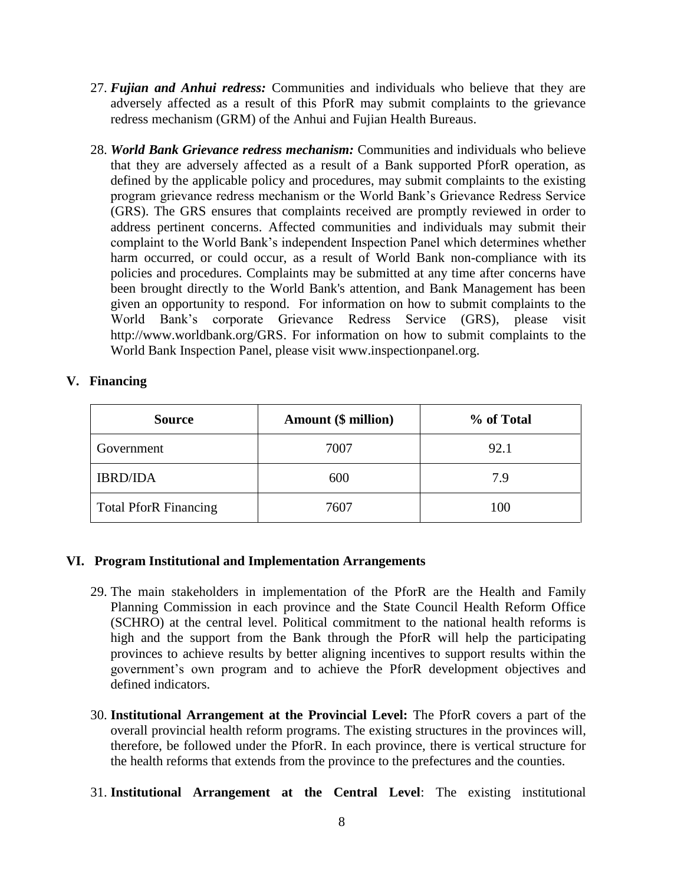- 27. *Fujian and Anhui redress:* Communities and individuals who believe that they are adversely affected as a result of this PforR may submit complaints to the grievance redress mechanism (GRM) of the Anhui and Fujian Health Bureaus.
- 28. *World Bank Grievance redress mechanism:* Communities and individuals who believe that they are adversely affected as a result of a Bank supported PforR operation, as defined by the applicable policy and procedures, may submit complaints to the existing program grievance redress mechanism or the World Bank's Grievance Redress Service (GRS). The GRS ensures that complaints received are promptly reviewed in order to address pertinent concerns. Affected communities and individuals may submit their complaint to the World Bank's independent Inspection Panel which determines whether harm occurred, or could occur, as a result of World Bank non-compliance with its policies and procedures. Complaints may be submitted at any time after concerns have been brought directly to the World Bank's attention, and Bank Management has been given an opportunity to respond. For information on how to submit complaints to the World Bank's corporate Grievance Redress Service (GRS), please visit [http://www.worldbank.org/GRS.](http://www.worldbank.org/GRM) For information on how to submit complaints to the World Bank Inspection Panel, please visit [www.inspectionpanel.org.](http://www.inspectionpanel.org/)

## **V. Financing**

| <b>Source</b>                | Amount (\$ million) | % of Total |
|------------------------------|---------------------|------------|
| Government                   | 7007                | 92.1       |
| <b>IBRD/IDA</b>              | 600                 | 7.9        |
| <b>Total PforR Financing</b> | 7607                | 100        |

### **VI. Program Institutional and Implementation Arrangements**

- 29. The main stakeholders in implementation of the PforR are the Health and Family Planning Commission in each province and the State Council Health Reform Office (SCHRO) at the central level. Political commitment to the national health reforms is high and the support from the Bank through the PforR will help the participating provinces to achieve results by better aligning incentives to support results within the government's own program and to achieve the PforR development objectives and defined indicators.
- 30. **Institutional Arrangement at the Provincial Level:** The PforR covers a part of the overall provincial health reform programs. The existing structures in the provinces will, therefore, be followed under the PforR. In each province, there is vertical structure for the health reforms that extends from the province to the prefectures and the counties.
- 31. **Institutional Arrangement at the Central Level**: The existing institutional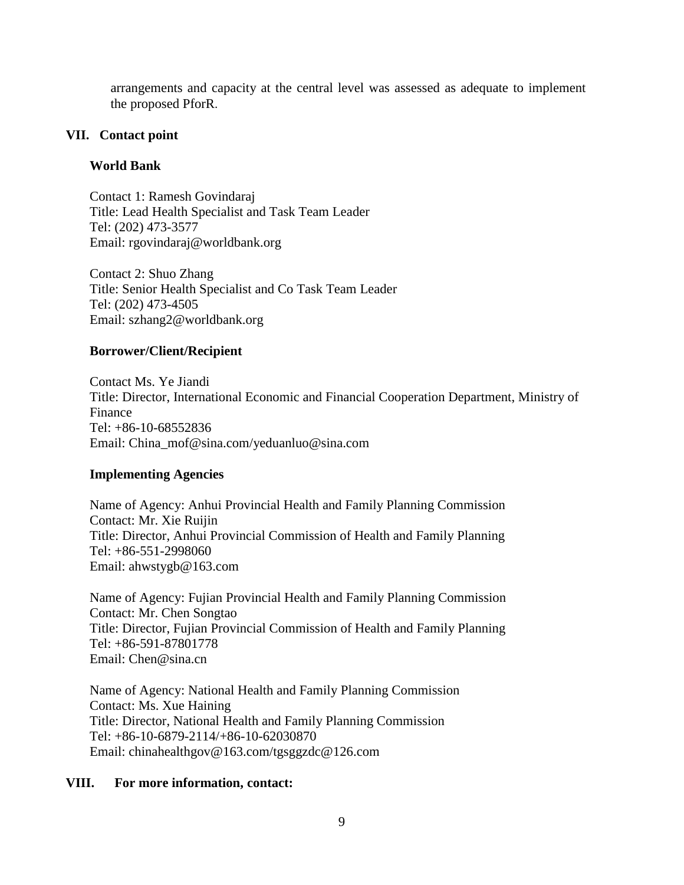arrangements and capacity at the central level was assessed as adequate to implement the proposed PforR.

### **VII. Contact point**

## **World Bank**

Contact 1: Ramesh Govindaraj Title: Lead Health Specialist and Task Team Leader Tel: (202) 473-3577 Email: rgovindaraj@worldbank.org

Contact 2: Shuo Zhang Title: Senior Health Specialist and Co Task Team Leader Tel: (202) 473-4505 Email: szhang2@worldbank.org

## **Borrower/Client/Recipient**

Contact Ms. Ye Jiandi Title: Director, International Economic and Financial Cooperation Department, Ministry of Finance Tel: +86-10-68552836 Email: China\_mof@sina.com/yeduanluo@sina.com

## **Implementing Agencies**

Name of Agency: Anhui Provincial Health and Family Planning Commission Contact: Mr. Xie Ruijin Title: Director, Anhui Provincial Commission of Health and Family Planning Tel: +86-551-2998060 Email: ahwstygb@163.com

Name of Agency: Fujian Provincial Health and Family Planning Commission Contact: Mr. Chen Songtao Title: Director, Fujian Provincial Commission of Health and Family Planning Tel: +86-591-87801778 Email: Chen@sina.cn

Name of Agency: National Health and Family Planning Commission Contact: Ms. Xue Haining Title: Director, National Health and Family Planning Commission Tel: +86-10-6879-2114/+86-10-62030870 Email: chinahealthgov@163.com/tgsggzdc@126.com

### **VIII. For more information, contact:**